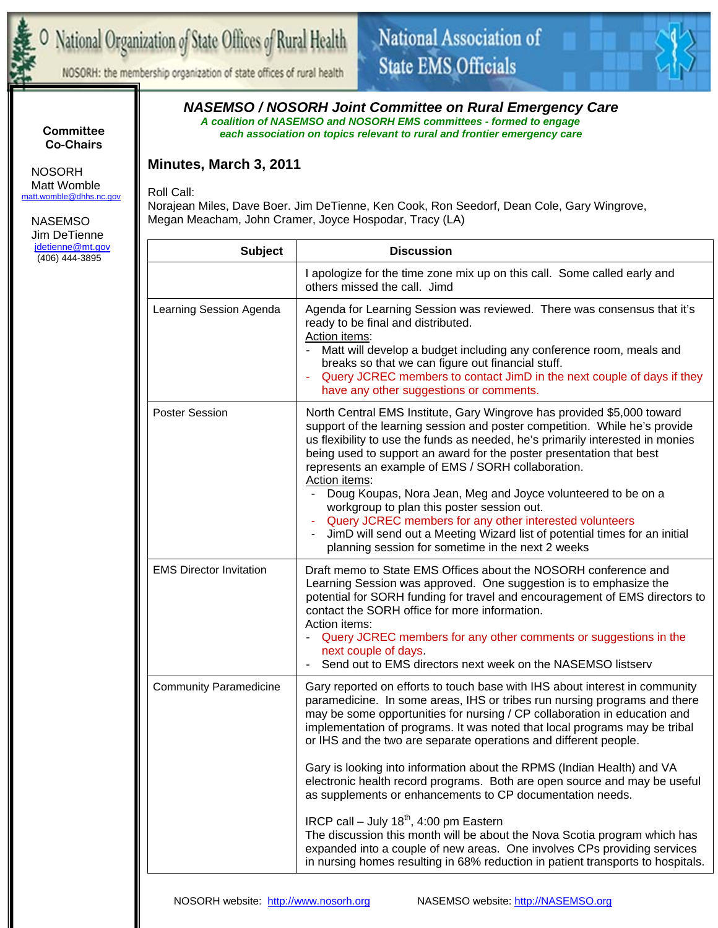

# National Organization of State Offices of Rural Health

## National Association of **State EMS Officials**



NOSORH: the membership organization of state offices of rural health

### *NASEMSO / NOSORH Joint Committee on Rural Emergency Care A coalition of NASEMSO and NOSORH EMS committees - formed to engage*

*each association on topics relevant to rural and frontier emergency care* 

### **Minutes, March 3, 2011**

Roll Call:

Norajean Miles, Dave Boer. Jim DeTienne, Ken Cook, Ron Seedorf, Dean Cole, Gary Wingrove, Megan Meacham, John Cramer, Joyce Hospodar, Tracy (LA)

| <b>Subject</b>                 | <b>Discussion</b>                                                                                                                                                                                                                                                                                                                                                                                                                                                                                                                                                                                                                                                                                 |  |
|--------------------------------|---------------------------------------------------------------------------------------------------------------------------------------------------------------------------------------------------------------------------------------------------------------------------------------------------------------------------------------------------------------------------------------------------------------------------------------------------------------------------------------------------------------------------------------------------------------------------------------------------------------------------------------------------------------------------------------------------|--|
|                                | I apologize for the time zone mix up on this call. Some called early and<br>others missed the call. Jimd                                                                                                                                                                                                                                                                                                                                                                                                                                                                                                                                                                                          |  |
| Learning Session Agenda        | Agenda for Learning Session was reviewed. There was consensus that it's<br>ready to be final and distributed.<br>Action items:<br>Matt will develop a budget including any conference room, meals and<br>breaks so that we can figure out financial stuff.<br>Query JCREC members to contact JimD in the next couple of days if they<br>÷<br>have any other suggestions or comments.                                                                                                                                                                                                                                                                                                              |  |
| <b>Poster Session</b>          | North Central EMS Institute, Gary Wingrove has provided \$5,000 toward<br>support of the learning session and poster competition. While he's provide<br>us flexibility to use the funds as needed, he's primarily interested in monies<br>being used to support an award for the poster presentation that best<br>represents an example of EMS / SORH collaboration.<br>Action items:<br>Doug Koupas, Nora Jean, Meg and Joyce volunteered to be on a<br>workgroup to plan this poster session out.<br>Query JCREC members for any other interested volunteers<br>JimD will send out a Meeting Wizard list of potential times for an initial<br>planning session for sometime in the next 2 weeks |  |
| <b>EMS Director Invitation</b> | Draft memo to State EMS Offices about the NOSORH conference and<br>Learning Session was approved. One suggestion is to emphasize the<br>potential for SORH funding for travel and encouragement of EMS directors to<br>contact the SORH office for more information.<br>Action items:<br>Query JCREC members for any other comments or suggestions in the<br>next couple of days.<br>Send out to EMS directors next week on the NASEMSO listserv                                                                                                                                                                                                                                                  |  |
| <b>Community Paramedicine</b>  | Gary reported on efforts to touch base with IHS about interest in community<br>paramedicine. In some areas, IHS or tribes run nursing programs and there<br>may be some opportunities for nursing / CP collaboration in education and<br>implementation of programs. It was noted that local programs may be tribal<br>or IHS and the two are separate operations and different people.                                                                                                                                                                                                                                                                                                           |  |
|                                | Gary is looking into information about the RPMS (Indian Health) and VA<br>electronic health record programs. Both are open source and may be useful<br>as supplements or enhancements to CP documentation needs.                                                                                                                                                                                                                                                                                                                                                                                                                                                                                  |  |
|                                | IRCP call - July $18^{th}$ , 4:00 pm Eastern<br>The discussion this month will be about the Nova Scotia program which has<br>expanded into a couple of new areas. One involves CPs providing services<br>in nursing homes resulting in 68% reduction in patient transports to hospitals.                                                                                                                                                                                                                                                                                                                                                                                                          |  |

#### **Committee Co-Chairs**

 NOSORH Matt Womble matt.womble@dhhs.nc.gov

 NASEMSO Jim DeTienne jdetienne@mt.gov (406) 444-3895